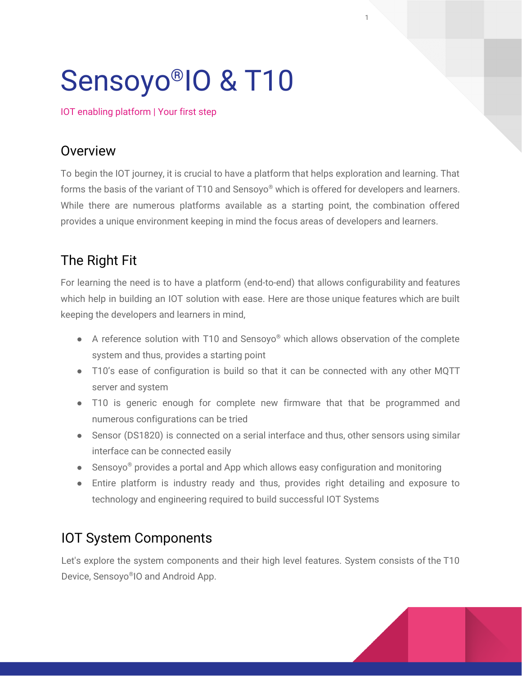# Sensoyo ®IO & T10

IOT enabling platform | Your first step

## **Overview**

To begin the IOT journey, it is crucial to have a platform that helps exploration and learning. That forms the basis of the variant of T10 and Sensoyo ® which is offered for developers and learners. While there are numerous platforms available as a starting point, the combination offered provides a unique environment keeping in mind the focus areas of developers and learners.

1

# The Right Fit

For learning the need is to have a platform (end-to-end) that allows configurability and features which help in building an IOT solution with ease. Here are those unique features which are built keeping the developers and learners in mind,

- A reference solution with T10 and Sensoyo® which allows observation of the complete system and thus, provides a starting point
- T10's ease of configuration is build so that it can be connected with any other MQTT server and system
- T10 is generic enough for complete new firmware that that be programmed and numerous configurations can be tried
- Sensor (DS1820) is connected on a serial interface and thus, other sensors using similar interface can be connected easily
- Sensoyo<sup>®</sup> provides a portal and App which allows easy configuration and monitoring
- Entire platform is industry ready and thus, provides right detailing and exposure to technology and engineering required to build successful IOT Systems

# IOT System Components

Let's explore the system components and their high level features. System consists of the T10 Device, Sensoyo ® IO and Android App.

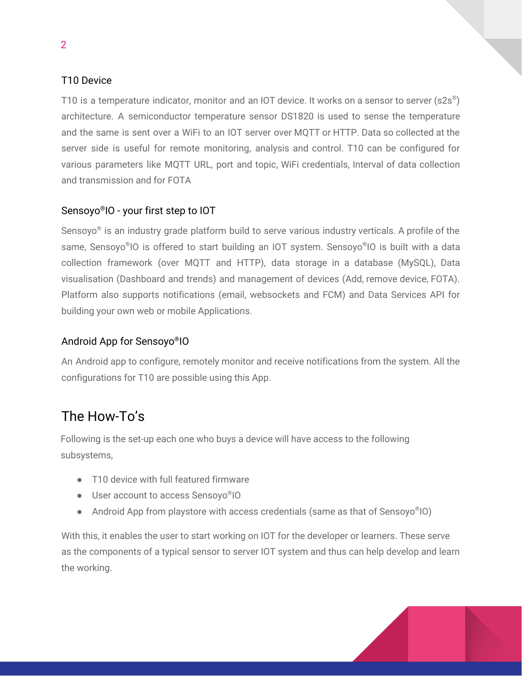#### T10 Device

T10 is a temperature indicator, monitor and an IOT device. It works on a sensor to server (s2s®) architecture. A semiconductor temperature sensor DS1820 is used to sense the temperature and the same is sent over a WiFi to an IOT server over MQTT or HTTP. Data so collected at the server side is useful for remote monitoring, analysis and control. T10 can be configured for various parameters like MQTT URL, port and topic, WiFi credentials, Interval of data collection and transmission and for FOTA

### Sensoyo® IO - your first step to IOT

Sensoyo ® is an industry grade platform build to serve various industry verticals. A profile of the same, Sensoyo®IO is offered to start building an IOT system. Sensoyo®IO is built with a data collection framework (over MQTT and HTTP), data storage in a database (MySQL), Data visualisation (Dashboard and trends) and management of devices (Add, remove device, FOTA). Platform also supports notifications (email, websockets and FCM) and Data Services API for building your own web or mobile Applications.

### Android App for Sensoyo® IO

An Android app to configure, remotely monitor and receive notifications from the system. All the configurations for T10 are possible using this App.

# The How-To's

Following is the set-up each one who buys a device will have access to the following subsystems,

- T10 device with full featured firmware
- User account to access Sensoyo<sup>®</sup>IO
- Android App from playstore with access credentials (same as that of Sensoyo®IO)

With this, it enables the user to start working on IOT for the developer or learners. These serve as the components of a typical sensor to server IOT system and thus can help develop and learn the working.

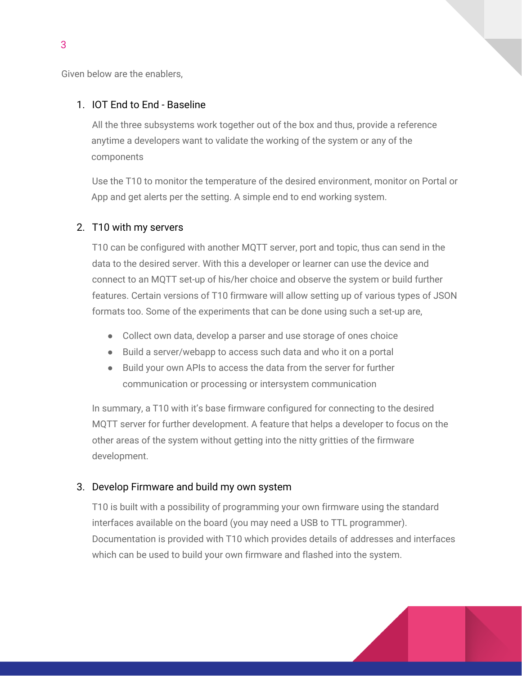Given below are the enablers,

#### 1. IOT End to End - Baseline

All the three subsystems work together out of the box and thus, provide a reference anytime a developers want to validate the working of the system or any of the components

Use the T10 to monitor the temperature of the desired environment, monitor on Portal or App and get alerts per the setting. A simple end to end working system.

#### 2. T10 with my servers

T10 can be configured with another MQTT server, port and topic, thus can send in the data to the desired server. With this a developer or learner can use the device and connect to an MQTT set-up of his/her choice and observe the system or build further features. Certain versions of T10 firmware will allow setting up of various types of JSON formats too. Some of the experiments that can be done using such a set-up are,

- Collect own data, develop a parser and use storage of ones choice
- Build a server/webapp to access such data and who it on a portal
- Build your own APIs to access the data from the server for further communication or processing or intersystem communication

In summary, a T10 with it's base firmware configured for connecting to the desired MQTT server for further development. A feature that helps a developer to focus on the other areas of the system without getting into the nitty gritties of the firmware development.

#### 3. Develop Firmware and build my own system

T10 is built with a possibility of programming your own firmware using the standard interfaces available on the board (you may need a USB to TTL programmer). Documentation is provided with T10 which provides details of addresses and interfaces which can be used to build your own firmware and flashed into the system.